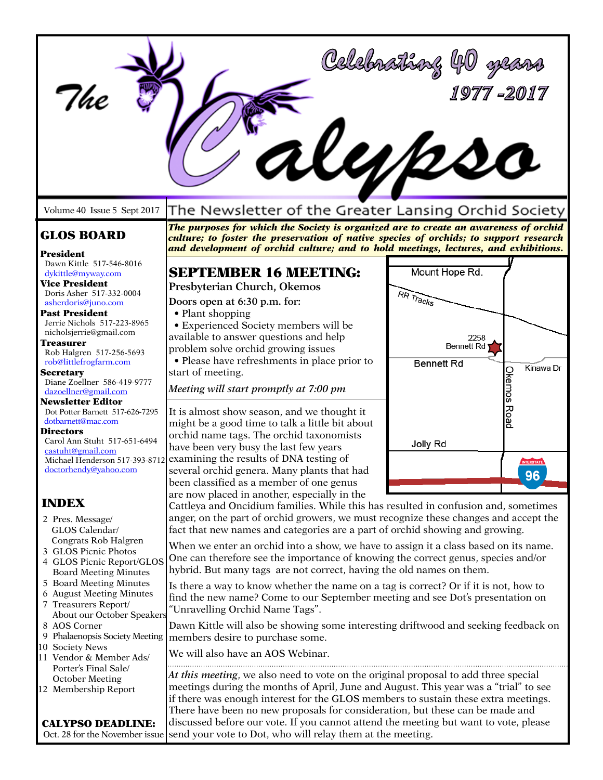| Ihe<br>Volume 40 Issue 5 Sept 2017                                                                                                                                                                                                                                                                                                                          | alupso<br>The Newsletter of the Greater Lansing Orchid Society                                                                                                                                                                                                                                                                                                                                                                                                                                           | Celebrathay 40<br>1977 - 2017                                                 |                     |
|-------------------------------------------------------------------------------------------------------------------------------------------------------------------------------------------------------------------------------------------------------------------------------------------------------------------------------------------------------------|----------------------------------------------------------------------------------------------------------------------------------------------------------------------------------------------------------------------------------------------------------------------------------------------------------------------------------------------------------------------------------------------------------------------------------------------------------------------------------------------------------|-------------------------------------------------------------------------------|---------------------|
| The purposes for which the Society is organized are to create an awareness of orchid<br><b>GLOS BOARD</b><br>culture; to foster the preservation of native species of orchids; to support research<br>and development of orchid culture; and to hold meetings, lectures, and exhibitions.<br>President                                                      |                                                                                                                                                                                                                                                                                                                                                                                                                                                                                                          |                                                                               |                     |
| Dawn Kittle 517-546-8016<br>dykittle@myway.com<br><b>Vice President</b><br>Doris Asher 517-332-0004<br>asherdoris@juno.com<br><b>Past President</b><br>Jerrie Nichols 517-223-8965<br>nicholsjerrie@gmail.com<br>Treasurer<br>Rob Halgren 517-256-5693<br>rob@littlefrogfarm.com<br><b>Secretary</b><br>Diane Zoellner 586-419-9777<br>dazoellner@gmail.com | <b>SEPTEMBER 16 MEETING:</b><br>Presbyterian Church, Okemos<br>Doors open at 6:30 p.m. for:<br>• Plant shopping<br>• Experienced Society members will be<br>available to answer questions and help<br>problem solve orchid growing issues<br>· Please have refreshments in place prior to<br>start of meeting.<br>Meeting will start promptly at 7:00 pm                                                                                                                                                 | Mount Hope Rd.<br>RR Tracks<br>2258<br><b>Bennett Rd</b><br><b>Bennett Rd</b> | Kinawa Dr<br>Okemos |
| Newsletter Editor<br>Dot Potter Barnett 517-626-7295<br>dotbarnett@mac.com<br>Directors<br>Carol Ann Stuht 517-651-6494<br>castuht@gmail.com<br>Michael Henderson 517-393-8712<br>doctorhendy@yahoo.com                                                                                                                                                     | It is almost show season, and we thought it<br>might be a good time to talk a little bit about<br>orchid name tags. The orchid taxonomists<br>have been very busy the last few years<br>examining the results of DNA testing of<br>several orchid genera. Many plants that had<br>been classified as a member of one genus                                                                                                                                                                               | Jolly Rd                                                                      | Road<br>96          |
| <b>INDEX</b><br>2 Pres. Message/<br>GLOS Calendar/                                                                                                                                                                                                                                                                                                          | are now placed in another, especially in the<br>Cattleya and Oncidium families. While this has resulted in confusion and, sometimes<br>anger, on the part of orchid growers, we must recognize these changes and accept the<br>fact that new names and categories are a part of orchid showing and growing.                                                                                                                                                                                              |                                                                               |                     |
| Congrats Rob Halgren<br>3 GLOS Picnic Photos<br>4 GLOS Picnic Report/GLOS<br><b>Board Meeting Minutes</b><br>5 Board Meeting Minutes<br>6 August Meeting Minutes<br>7 Treasurers Report/                                                                                                                                                                    | When we enter an orchid into a show, we have to assign it a class based on its name.<br>One can therefore see the importance of knowing the correct genus, species and/or<br>hybrid. But many tags are not correct, having the old names on them.<br>Is there a way to know whether the name on a tag is correct? Or if it is not, how to<br>find the new name? Come to our September meeting and see Dot's presentation on<br>"Unravelling Orchid Name Tags".                                           |                                                                               |                     |
| About our October Speakers<br>8 AOS Corner<br>9 Phalaenopsis Society Meeting<br>10 Society News<br>11 Vendor & Member Ads/                                                                                                                                                                                                                                  | Dawn Kittle will also be showing some interesting driftwood and seeking feedback on<br>members desire to purchase some.<br>We will also have an AOS Webinar.                                                                                                                                                                                                                                                                                                                                             |                                                                               |                     |
| Porter's Final Sale/<br>October Meeting<br>12 Membership Report<br><b>CALYPSO DEADLINE:</b><br>Oct. 28 for the November issue                                                                                                                                                                                                                               | At this meeting, we also need to vote on the original proposal to add three special<br>meetings during the months of April, June and August. This year was a "trial" to see<br>if there was enough interest for the GLOS members to sustain these extra meetings.<br>There have been no new proposals for consideration, but these can be made and<br>discussed before our vote. If you cannot attend the meeting but want to vote, please<br>send your vote to Dot, who will relay them at the meeting. |                                                                               |                     |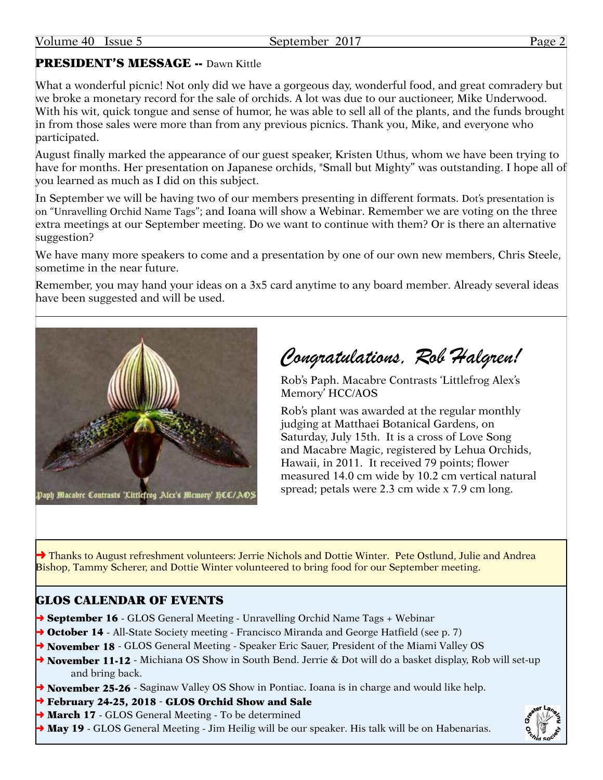# PRESIDENT'S MESSAGE -- Dawn Kittle

What a wonderful picnic! Not only did we have a gorgeous day, wonderful food, and great comradery but we broke a monetary record for the sale of orchids. A lot was due to our auctioneer, Mike Underwood. With his wit, quick tongue and sense of humor, he was able to sell all of the plants, and the funds brought in from those sales were more than from any previous picnics. Thank you, Mike, and everyone who participated.

August finally marked the appearance of our guest speaker, Kristen Uthus, whom we have been trying to have for months. Her presentation on Japanese orchids, "Small but Mighty" was outstanding. I hope all of you learned as much as I did on this subject.

In September we will be having two of our members presenting in different formats. Dot's presentation is on "Unravelling Orchid Name Tags"; and Ioana will show a Webinar. Remember we are voting on the three extra meetings at our September meeting. Do we want to continue with them? Or is there an alternative suggestion?

We have many more speakers to come and a presentation by one of our own new members, Chris Steele, sometime in the near future.

Remember, you may hand your ideas on a 3x5 card anytime to any board member. Already several ideas have been suggested and will be used.



*Congratulations, Rob Halgren!*

Rob's Paph. Macabre Contrasts 'Littlefrog Alex's Memory' HCC/AOS

Rob's plant was awarded at the regular monthly judging at Matthaei Botanical Gardens, on Saturday, July 15th. It is a cross of Love Song and Macabre Magic, registered by Lehua Orchids, Hawaii, in 2011. It received 79 points; flower measured 14.0 cm wide by 10.2 cm vertical natural spread; petals were 2.3 cm wide x 7.9 cm long.

→ Thanks to August refreshment volunteers: Jerrie Nichols and Dottie Winter. Pete Ostlund, Julie and Andrea Bishop, Tammy Scherer, and Dottie Winter volunteered to bring food for our September meeting.

# GLOS CALENDAR OF EVENTS

- → September 16 GLOS General Meeting Unravelling Orchid Name Tags + Webinar
- **→ October 14** All-State Society meeting Francisco Miranda and George Hatfield (see p. 7)
- → November 18 GLOS General Meeting Speaker Eric Sauer, President of the Miami Valley OS
- → November 11-12 Michiana OS Show in South Bend. Jerrie & Dot will do a basket display, Rob will set-up and bring back.
- $\rightarrow$  November 25-26 Saginaw Valley OS Show in Pontiac. Ioana is in charge and would like help.
- → February 24-25, 2018 GLOS Orchid Show and Sale
- → March 17 GLOS General Meeting To be determined
- **→ May 19** GLOS General Meeting Jim Heilig will be our speaker. His talk will be on Habenarias.

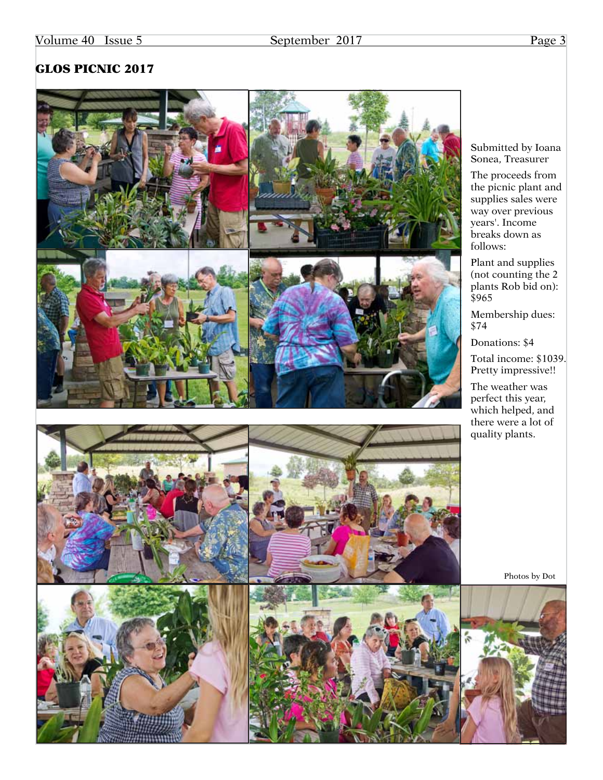# GLOS PICNIC 2017



Submitted by Ioana Sonea, Treasurer

The proceeds from the picnic plant and supplies sales were way over previous years'. Income breaks down as follows:

Plant and supplies (not counting the 2 plants Rob bid on): \$965

Membership dues: \$74

Donations: \$4

Total income: \$1039. Pretty impressive!!

The weather was perfect this year, which helped, and there were a lot of quality plants.

Photos by Dot

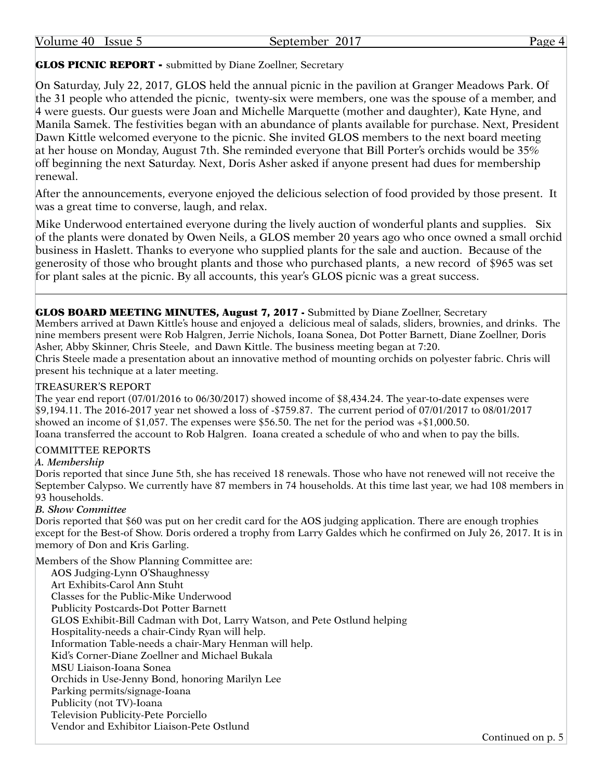| Volume<br>40 | - Issue | 201<br>September | Page |
|--------------|---------|------------------|------|
|              |         |                  |      |

#### GLOS PICNIC REPORT - submitted by Diane Zoellner, Secretary

On Saturday, July 22, 2017, GLOS held the annual picnic in the pavilion at Granger Meadows Park. Of the 31 people who attended the picnic, twenty-six were members, one was the spouse of a member, and 4 were guests. Our guests were Joan and Michelle Marquette (mother and daughter), Kate Hyne, and Manila Samek. The festivities began with an abundance of plants available for purchase. Next, President Dawn Kittle welcomed everyone to the picnic. She invited GLOS members to the next board meeting at her house on Monday, August 7th. She reminded everyone that Bill Porter's orchids would be 35% off beginning the next Saturday. Next, Doris Asher asked if anyone present had dues for membership renewal.

After the announcements, everyone enjoyed the delicious selection of food provided by those present. It was a great time to converse, laugh, and relax.

Mike Underwood entertained everyone during the lively auction of wonderful plants and supplies. Six of the plants were donated by Owen Neils, a GLOS member 20 years ago who once owned a small orchid business in Haslett. Thanks to everyone who supplied plants for the sale and auction. Because of the generosity of those who brought plants and those who purchased plants, a new record of \$965 was set for plant sales at the picnic. By all accounts, this year's GLOS picnic was a great success.

GLOS BOARD MEETING MINUTES, August 7, 2017 - Submitted by Diane Zoellner, Secretary Members arrived at Dawn Kittle's house and enjoyed a delicious meal of salads, sliders, brownies, and drinks. The nine members present were Rob Halgren, Jerrie Nichols, Ioana Sonea, Dot Potter Barnett, Diane Zoellner, Doris Asher, Abby Skinner, Chris Steele, and Dawn Kittle. The business meeting began at 7:20. Chris Steele made a presentation about an innovative method of mounting orchids on polyester fabric. Chris will present his technique at a later meeting.

#### TREASURER'S REPORT

The year end report (07/01/2016 to 06/30/2017) showed income of \$8,434.24. The year-to-date expenses were \$9,194.11. The 2016-2017 year net showed a loss of -\$759.87. The current period of 07/01/2017 to 08/01/2017 showed an income of \$1,057. The expenses were \$56.50. The net for the period was +\$1,000.50. Ioana transferred the account to Rob Halgren. Ioana created a schedule of who and when to pay the bills.

#### COMMITTEE REPORTS

#### *A. Membership*

Doris reported that since June 5th, she has received 18 renewals. Those who have not renewed will not receive the September Calypso. We currently have 87 members in 74 households. At this time last year, we had 108 members in 93 households.

#### *B. Show Committee*

Doris reported that \$60 was put on her credit card for the AOS judging application. There are enough trophies except for the Best-of Show. Doris ordered a trophy from Larry Galdes which he confirmed on July 26, 2017. It is in memory of Don and Kris Garling.

Members of the Show Planning Committee are:

| AOS Judging-Lynn O'Shaughnessy                                            |
|---------------------------------------------------------------------------|
| Art Exhibits-Carol Ann Stuht                                              |
| Classes for the Public-Mike Underwood                                     |
| <b>Publicity Postcards-Dot Potter Barnett</b>                             |
| GLOS Exhibit-Bill Cadman with Dot, Larry Watson, and Pete Ostlund helping |
| Hospitality-needs a chair-Cindy Ryan will help.                           |
| Information Table-needs a chair-Mary Henman will help.                    |
| Kid's Corner-Diane Zoellner and Michael Bukala                            |
| MSU Liaison-Ioana Sonea                                                   |
| Orchids in Use-Jenny Bond, honoring Marilyn Lee                           |
| Parking permits/signage-Ioana                                             |
| Publicity (not TV)-Ioana                                                  |
| Television Publicity-Pete Porciello                                       |
| Vendor and Exhibitor Liaison-Pete Ostlund                                 |
|                                                                           |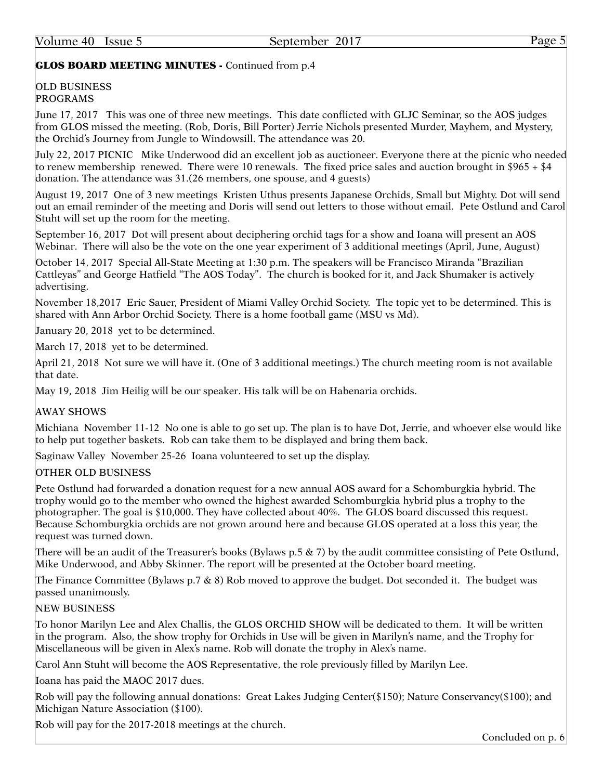## GLOS BOARD MEETING MINUTES - Continued from p.4

#### OLD BUSINESS PROGRAMS

June 17, 2017 This was one of three new meetings. This date conflicted with GLJC Seminar, so the AOS judges from GLOS missed the meeting. (Rob, Doris, Bill Porter) Jerrie Nichols presented Murder, Mayhem, and Mystery, the Orchid's Journey from Jungle to Windowsill. The attendance was 20.

July 22, 2017 PICNIC Mike Underwood did an excellent job as auctioneer. Everyone there at the picnic who needed to renew membership renewed. There were 10 renewals. The fixed price sales and auction brought in \$965 + \$4 donation. The attendance was 31.(26 members, one spouse, and 4 guests)

August 19, 2017 One of 3 new meetings Kristen Uthus presents Japanese Orchids, Small but Mighty. Dot will send out an email reminder of the meeting and Doris will send out letters to those without email. Pete Ostlund and Carol Stuht will set up the room for the meeting.

September 16, 2017 Dot will present about deciphering orchid tags for a show and Ioana will present an AOS Webinar. There will also be the vote on the one year experiment of 3 additional meetings (April, June, August)

October 14, 2017 Special All-State Meeting at 1:30 p.m. The speakers will be Francisco Miranda "Brazilian Cattleyas" and George Hatfield "The AOS Today". The church is booked for it, and Jack Shumaker is actively advertising.

November 18,2017 Eric Sauer, President of Miami Valley Orchid Society. The topic yet to be determined. This is shared with Ann Arbor Orchid Society. There is a home football game (MSU vs Md).

January 20, 2018 yet to be determined.

March 17, 2018 yet to be determined.

April 21, 2018 Not sure we will have it. (One of 3 additional meetings.) The church meeting room is not available that date.

May 19, 2018 Jim Heilig will be our speaker. His talk will be on Habenaria orchids.

#### AWAY SHOWS

Michiana November 11-12 No one is able to go set up. The plan is to have Dot, Jerrie, and whoever else would like to help put together baskets. Rob can take them to be displayed and bring them back.

Saginaw Valley November 25-26 Ioana volunteered to set up the display.

#### OTHER OLD BUSINESS

Pete Ostlund had forwarded a donation request for a new annual AOS award for a Schomburgkia hybrid. The trophy would go to the member who owned the highest awarded Schomburgkia hybrid plus a trophy to the photographer. The goal is \$10,000. They have collected about 40%. The GLOS board discussed this request. Because Schomburgkia orchids are not grown around here and because GLOS operated at a loss this year, the request was turned down.

There will be an audit of the Treasurer's books (Bylaws p.5 & 7) by the audit committee consisting of Pete Ostlund, Mike Underwood, and Abby Skinner. The report will be presented at the October board meeting.

The Finance Committee (Bylaws p.7 & 8) Rob moved to approve the budget. Dot seconded it. The budget was passed unanimously.

#### NEW BUSINESS

To honor Marilyn Lee and Alex Challis, the GLOS ORCHID SHOW will be dedicated to them. It will be written in the program. Also, the show trophy for Orchids in Use will be given in Marilyn's name, and the Trophy for Miscellaneous will be given in Alex's name. Rob will donate the trophy in Alex's name.

Carol Ann Stuht will become the AOS Representative, the role previously filled by Marilyn Lee.

Ioana has paid the MAOC 2017 dues.

Rob will pay the following annual donations: Great Lakes Judging Center(\$150); Nature Conservancy(\$100); and Michigan Nature Association (\$100).

Rob will pay for the 2017-2018 meetings at the church.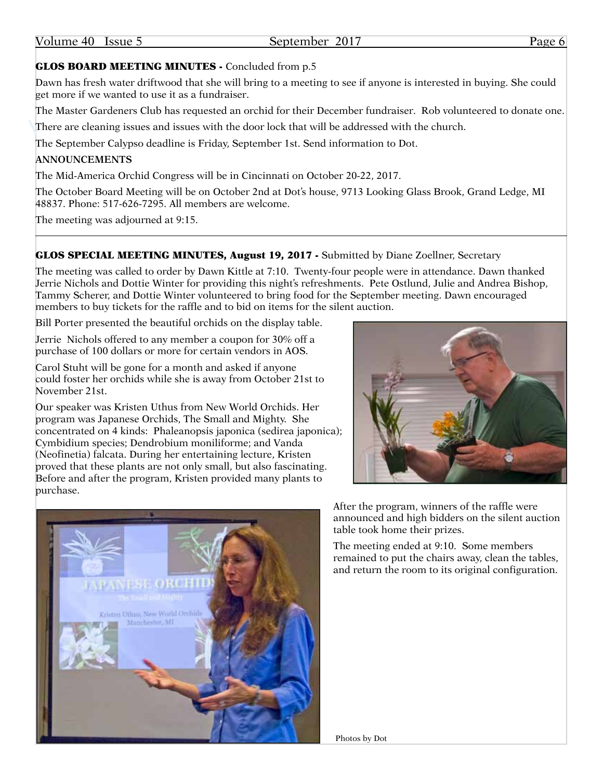# GLOS BOARD MEETING MINUTES - Concluded from p.5

Dawn has fresh water driftwood that she will bring to a meeting to see if anyone is interested in buying. She could get more if we wanted to use it as a fundraiser.

The Master Gardeners Club has requested an orchid for their December fundraiser. Rob volunteered to donate one.

There are cleaning issues and issues with the door lock that will be addressed with the church.

The September Calypso deadline is Friday, September 1st. Send information to Dot.

#### **ANNOUNCEMENTS**

The Mid-America Orchid Congress will be in Cincinnati on October 20-22, 2017.

The October Board Meeting will be on October 2nd at Dot's house, 9713 Looking Glass Brook, Grand Ledge, MI 48837. Phone: 517-626-7295. All members are welcome.

The meeting was adjourned at 9:15.

## GLOS SPECIAL MEETING MINUTES, August 19, 2017 - Submitted by Diane Zoellner, Secretary

The meeting was called to order by Dawn Kittle at 7:10. Twenty-four people were in attendance. Dawn thanked Jerrie Nichols and Dottie Winter for providing this night's refreshments. Pete Ostlund, Julie and Andrea Bishop, Tammy Scherer, and Dottie Winter volunteered to bring food for the September meeting. Dawn encouraged members to buy tickets for the raffle and to bid on items for the silent auction.

Bill Porter presented the beautiful orchids on the display table.

Jerrie Nichols offered to any member a coupon for 30% off a purchase of 100 dollars or more for certain vendors in AOS.

Carol Stuht will be gone for a month and asked if anyone could foster her orchids while she is away from October 21st to November 21st.

Our speaker was Kristen Uthus from New World Orchids. Her program was Japanese Orchids, The Small and Mighty. She concentrated on 4 kinds: Phaleanopsis japonica (sedirea japonica); Cymbidium species; Dendrobium moniliforme; and Vanda (Neofinetia) falcata. During her entertaining lecture, Kristen proved that these plants are not only small, but also fascinating. Before and after the program, Kristen provided many plants to purchase.





After the program, winners of the raffle were announced and high bidders on the silent auction table took home their prizes.

The meeting ended at 9:10. Some members remained to put the chairs away, clean the tables, and return the room to its original configuration.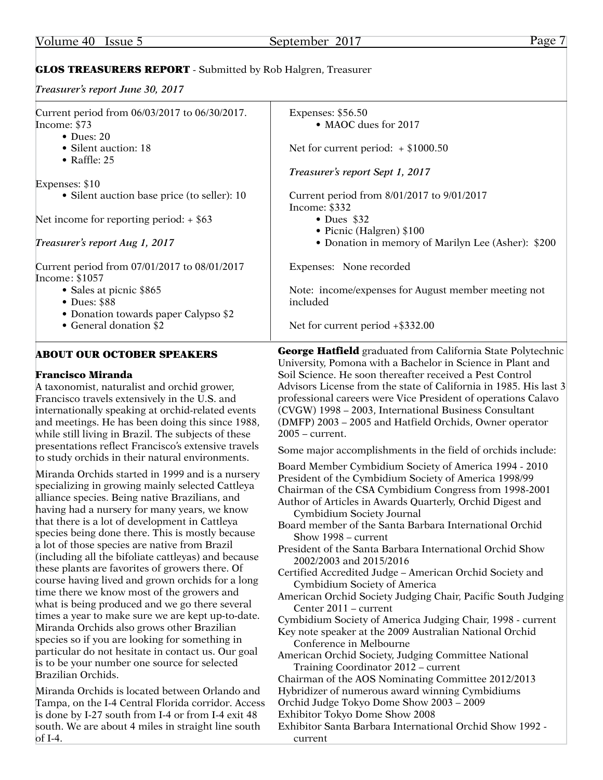# GLOS TREASURERS REPORT - Submitted by Rob Halgren, Treasurer

*Treasurer's report June 30, 2017* 

| Expenses: \$56.50<br>• MAOC dues for 2017<br>Net for current period: $+$ \$1000.50<br>Treasurer's report Sept 1, 2017<br>Current period from 8/01/2017 to 9/01/2017<br>Income: \$332<br>$\bullet$ Dues \$32<br>• Picnic (Halgren) \$100<br>• Donation in memory of Marilyn Lee (Asher): \$200<br>Expenses: None recorded<br>Note: income/expenses for August member meeting not<br>included                                                                                                                                                                                                                                                                                                                                                                                                                                                                                                                                                                                                                                                                                                                                                                                                                                                                                                                                                                                                                                                                                                                                                                                                                           |
|-----------------------------------------------------------------------------------------------------------------------------------------------------------------------------------------------------------------------------------------------------------------------------------------------------------------------------------------------------------------------------------------------------------------------------------------------------------------------------------------------------------------------------------------------------------------------------------------------------------------------------------------------------------------------------------------------------------------------------------------------------------------------------------------------------------------------------------------------------------------------------------------------------------------------------------------------------------------------------------------------------------------------------------------------------------------------------------------------------------------------------------------------------------------------------------------------------------------------------------------------------------------------------------------------------------------------------------------------------------------------------------------------------------------------------------------------------------------------------------------------------------------------------------------------------------------------------------------------------------------------|
|                                                                                                                                                                                                                                                                                                                                                                                                                                                                                                                                                                                                                                                                                                                                                                                                                                                                                                                                                                                                                                                                                                                                                                                                                                                                                                                                                                                                                                                                                                                                                                                                                       |
|                                                                                                                                                                                                                                                                                                                                                                                                                                                                                                                                                                                                                                                                                                                                                                                                                                                                                                                                                                                                                                                                                                                                                                                                                                                                                                                                                                                                                                                                                                                                                                                                                       |
|                                                                                                                                                                                                                                                                                                                                                                                                                                                                                                                                                                                                                                                                                                                                                                                                                                                                                                                                                                                                                                                                                                                                                                                                                                                                                                                                                                                                                                                                                                                                                                                                                       |
|                                                                                                                                                                                                                                                                                                                                                                                                                                                                                                                                                                                                                                                                                                                                                                                                                                                                                                                                                                                                                                                                                                                                                                                                                                                                                                                                                                                                                                                                                                                                                                                                                       |
|                                                                                                                                                                                                                                                                                                                                                                                                                                                                                                                                                                                                                                                                                                                                                                                                                                                                                                                                                                                                                                                                                                                                                                                                                                                                                                                                                                                                                                                                                                                                                                                                                       |
|                                                                                                                                                                                                                                                                                                                                                                                                                                                                                                                                                                                                                                                                                                                                                                                                                                                                                                                                                                                                                                                                                                                                                                                                                                                                                                                                                                                                                                                                                                                                                                                                                       |
|                                                                                                                                                                                                                                                                                                                                                                                                                                                                                                                                                                                                                                                                                                                                                                                                                                                                                                                                                                                                                                                                                                                                                                                                                                                                                                                                                                                                                                                                                                                                                                                                                       |
|                                                                                                                                                                                                                                                                                                                                                                                                                                                                                                                                                                                                                                                                                                                                                                                                                                                                                                                                                                                                                                                                                                                                                                                                                                                                                                                                                                                                                                                                                                                                                                                                                       |
| Net for current period $+$ \$332.00                                                                                                                                                                                                                                                                                                                                                                                                                                                                                                                                                                                                                                                                                                                                                                                                                                                                                                                                                                                                                                                                                                                                                                                                                                                                                                                                                                                                                                                                                                                                                                                   |
| <b>George Hatfield</b> graduated from California State Polytechnic<br>University, Pomona with a Bachelor in Science in Plant and<br>Soil Science. He soon thereafter received a Pest Control<br>Advisors License from the state of California in 1985. His last 3<br>professional careers were Vice President of operations Calavo<br>(CVGW) 1998 - 2003, International Business Consultant<br>(DMFP) 2003 - 2005 and Hatfield Orchids, Owner operator<br>$2005$ – current.<br>Some major accomplishments in the field of orchids include:<br>Board Member Cymbidium Society of America 1994 - 2010<br>President of the Cymbidium Society of America 1998/99<br>Chairman of the CSA Cymbidium Congress from 1998-2001<br>Author of Articles in Awards Quarterly, Orchid Digest and<br>Cymbidium Society Journal<br>Board member of the Santa Barbara International Orchid<br>Show 1998 – current<br>President of the Santa Barbara International Orchid Show<br>2002/2003 and 2015/2016<br>Certified Accredited Judge - American Orchid Society and<br>Cymbidium Society of America<br>American Orchid Society Judging Chair, Pacific South Judging<br>Center 2011 – current<br>Cymbidium Society of America Judging Chair, 1998 - current<br>Key note speaker at the 2009 Australian National Orchid<br>Conference in Melbourne<br>American Orchid Society, Judging Committee National<br>Training Coordinator 2012 - current<br>Chairman of the AOS Nominating Committee 2012/2013<br>Hybridizer of numerous award winning Cymbidiums<br>Orchid Judge Tokyo Dome Show 2003 - 2009<br>Exhibitor Tokyo Dome Show 2008 |
| Exhibitor Santa Barbara International Orchid Show 1992 -<br>current                                                                                                                                                                                                                                                                                                                                                                                                                                                                                                                                                                                                                                                                                                                                                                                                                                                                                                                                                                                                                                                                                                                                                                                                                                                                                                                                                                                                                                                                                                                                                   |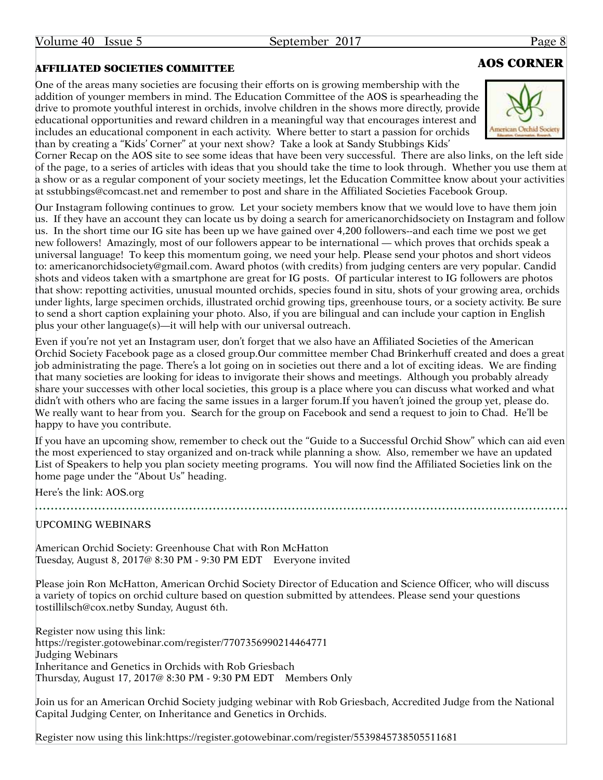# ACTED SOCIETIES COMMITTEE AND SERVICE SERVICES AND SOCIETIES COMMITTEE

One of the areas many societies are focusing their efforts on is growing membership with the addition of younger members in mind. The Education Committee of the AOS is spearheading the drive to promote youthful interest in orchids, involve children in the shows more directly, provide educational opportunities and reward children in a meaningful way that encourages interest and includes an educational component in each activity. Where better to start a passion for orchids than by creating a "Kids' Corner" at your next show? Take a look at Sandy Stubbings Kids'





Corner Recap on the AOS site to see some ideas that have been very successful. There are also links, on the left side of the page, to a series of articles with ideas that you should take the time to look through. Whether you use them at a show or as a regular component of your society meetings, let the Education Committee know about your activities at [sstubbings@comcast.net](mailto:sstubbings@comcast.net) and remember to post and share in the Affiliated Societies Facebook Group.

Our Instagram following continues to grow. Let your society members know that we would love to have them join us. If they have an account they can locate us by doing a search for americanorchidsociety on Instagram and follow us. In the short time our IG site has been up we have gained over 4,200 followers--and each time we post we get new followers! Amazingly, most of our followers appear to be international — which proves that orchids speak a universal language! To keep this momentum going, we need your help. Please send your photos and short videos to: [americanorchidsociety@gmail.com](mailto:americanorchidsociety@gmail.com). Award photos (with credits) from judging centers are very popular. Candid shots and videos taken with a smartphone are great for IG posts. Of particular interest to IG followers are photos that show: repotting activities, unusual mounted orchids, species found in situ, shots of your growing area, orchids under lights, large specimen orchids, illustrated orchid growing tips, greenhouse tours, or a society activity. Be sure to send a short caption explaining your photo. Also, if you are bilingual and can include your caption in English plus your other language(s)—it will help with our universal outreach.

Even if you're not yet an Instagram user, don't forget that we also have an Affiliated Societies of the American Orchid Society Facebook page as a closed <group.Our> committee member Chad Brinkerhuff created and does a great job administrating the page. There's a lot going on in societies out there and a lot of exciting ideas. We are finding that many societies are looking for ideas to invigorate their shows and meetings. Although you probably already share your successes with other local societies, this group is a place where you can discuss what worked and what didn't with others who are facing the same issues in a larger<forum.If> you haven't joined the group yet, please do. We really want to hear from you. Search for the group on Facebook and send a request to join to Chad. He'll be happy to have you contribute.

If you have an upcoming show, remember to check out the "Guide to a Successful Orchid Show" which can aid even the most experienced to stay organized and on-track while planning a show. Also, remember we have an updated List of Speakers to help you plan society meeting programs. You will now find the Affiliated Societies link on the home page under the "About Us" heading.

Here's the link:<AOS.org>

UPCOMING WEBINARS

American Orchid Society: Greenhouse Chat with Ron McHatton Tuesday, August 8, 2017@ 8:30 PM - 9:30 PM EDT Everyone invited

Please join Ron McHatton, American Orchid Society Director of Education and Science Officer, who will discuss a variety of topics on orchid culture based on question submitted by attendees. Please send your questions tostillilsch@cox.netby Sunday, August 6th.

Register now using this link: https://register.gotowebinar.com/register/7707356990214464771 Judging Webinars Inheritance and Genetics in Orchids with Rob Griesbach Thursday, August 17, 2017@ 8:30 PM - 9:30 PM EDT Members Only

Join us for an American Orchid Society judging webinar with Rob Griesbach, Accredited Judge from the National Capital Judging Center, on Inheritance and Genetics in Orchids.

Register now using this link:https://register.gotowebinar.com/register/5539845738505511681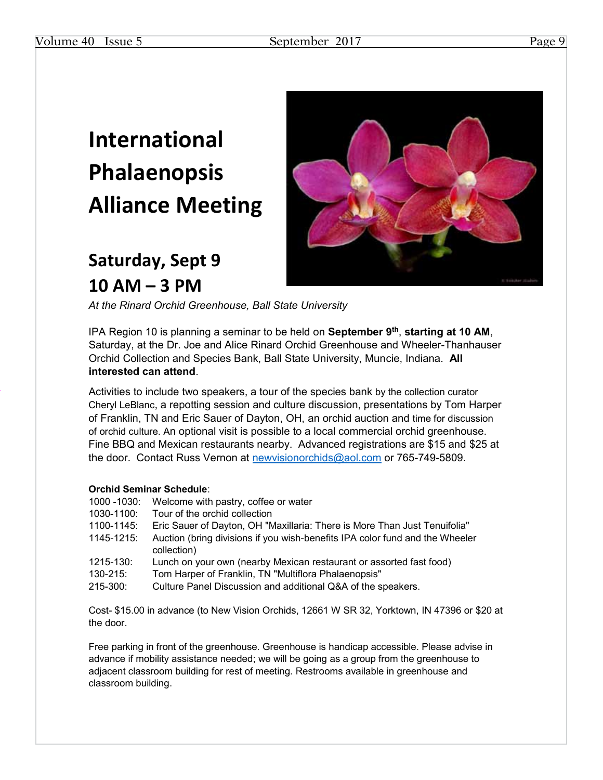# **International Phalaenopsis Alliance Meeting**

# **Saturday, Sept 9 10 AM – 3 PM**



*At the Rinard Orchid Greenhouse, Ball State University*

IPA Region 10 is planning a seminar to be held on **September 9th**, **starting at 10 AM**, Saturday, at the Dr. Joe and Alice Rinard Orchid Greenhouse and Wheeler-Thanhauser Orchid Collection and Species Bank, Ball State University, Muncie, Indiana. **All interested can attend**.

Activities to include two speakers, a tour of the species bank by the collection curator Cheryl LeBlanc, a repotting session and culture discussion, presentations by Tom Harper of Franklin, TN and Eric Sauer of Dayton, OH, an orchid auction and time for discussion of orchid culture. An optional visit is possible to a local commercial orchid greenhouse. Fine BBQ and Mexican restaurants nearby. Advanced registrations are \$15 and \$25 at the door. Contact Russ Vernon at newvisionorchids@aol.com or 765-749-5809.

#### **Orchid Seminar Schedule**:

- 1000 -1030: Welcome with pastry, coffee or water
- 1030-1100: Tour of the orchid collection<br>1100-1145: Eric Sauer of Dayton, OH "M
- Eric Sauer of Dayton, OH "Maxillaria: There is More Than Just Tenuifolia"
- 1145-1215: Auction (bring divisions if you wish-benefits IPA color fund and the Wheeler collection)
- 1215-130: Lunch on your own (nearby Mexican restaurant or assorted fast food)
- 130-215: Tom Harper of Franklin, TN "Multiflora Phalaenopsis"
- 215-300: Culture Panel Discussion and additional Q&A of the speakers.

Cost- \$15.00 in advance (to New Vision Orchids, 12661 W SR 32, Yorktown, IN 47396 or \$20 at the door.

Free parking in front of the greenhouse. Greenhouse is handicap accessible. Please advise in advance if mobility assistance needed; we will be going as a group from the greenhouse to adjacent classroom building for rest of meeting. Restrooms available in greenhouse and classroom building.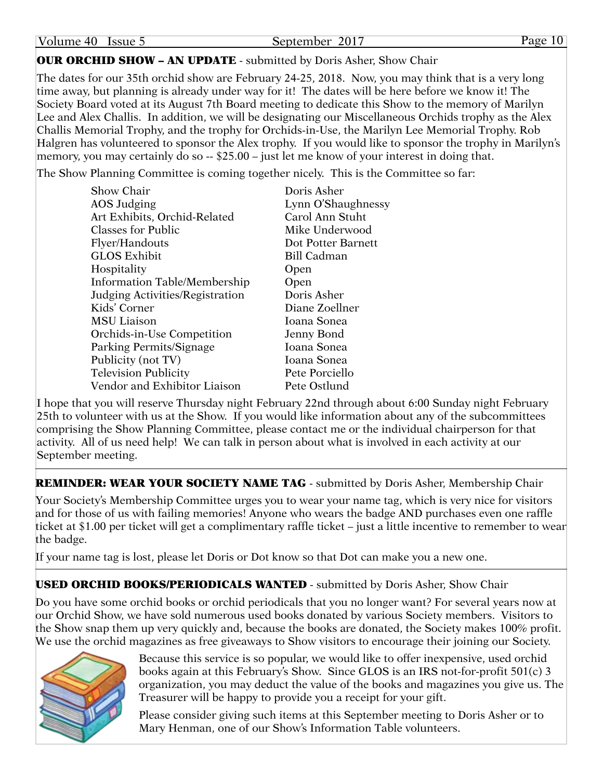|  | Volume 40 | 1ssue 5 | September | 2017 | Page |
|--|-----------|---------|-----------|------|------|
|--|-----------|---------|-----------|------|------|

## OUR ORCHID SHOW – AN UPDATE - submitted by Doris Asher, Show Chair

The dates for our 35th orchid show are February 24-25, 2018. Now, you may think that is a very long time away, but planning is already under way for it! The dates will be here before we know it! The Society Board voted at its August 7th Board meeting to dedicate this Show to the memory of Marilyn Lee and Alex Challis. In addition, we will be designating our Miscellaneous Orchids trophy as the Alex Challis Memorial Trophy, and the trophy for Orchids-in-Use, the Marilyn Lee Memorial Trophy. Rob Halgren has volunteered to sponsor the Alex trophy. If you would like to sponsor the trophy in Marilyn's memory, you may certainly do so -- \$25.00 – just let me know of your interest in doing that.

The Show Planning Committee is coming together nicely. This is the Committee so far:

| Show Chair                      | Doris Asher        |
|---------------------------------|--------------------|
| AOS Judging                     | Lynn O'Shaughnessy |
| Art Exhibits, Orchid-Related    | Carol Ann Stuht    |
| <b>Classes for Public</b>       | Mike Underwood     |
| Flyer/Handouts                  | Dot Potter Barnett |
| <b>GLOS Exhibit</b>             | <b>Bill Cadman</b> |
| Hospitality                     | Open               |
| Information Table/Membership    | Open               |
| Judging Activities/Registration | Doris Asher        |
| Kids' Corner                    | Diane Zoellner     |
| <b>MSU Liaison</b>              | Ioana Sonea        |
| Orchids-in-Use Competition      | Jenny Bond         |
| Parking Permits/Signage         | Ioana Sonea        |
| Publicity (not TV)              | Ioana Sonea        |
| <b>Television Publicity</b>     | Pete Porciello     |
| Vendor and Exhibitor Liaison    | Pete Ostlund       |

I hope that you will reserve Thursday night February 22nd through about 6:00 Sunday night February 25th to volunteer with us at the Show. If you would like information about any of the subcommittees comprising the Show Planning Committee, please contact me or the individual chairperson for that activity. All of us need help! We can talk in person about what is involved in each activity at our September meeting.

REMINDER: WEAR YOUR SOCIETY NAME TAG - submitted by Doris Asher, Membership Chair

Your Society's Membership Committee urges you to wear your name tag, which is very nice for visitors and for those of us with failing memories! Anyone who wears the badge AND purchases even one raffle ticket at \$1.00 per ticket will get a complimentary raffle ticket – just a little incentive to remember to wear the badge.

If your name tag is lost, please let Doris or Dot know so that Dot can make you a new one.

# USED ORCHID BOOKS/PERIODICALS WANTED - submitted by Doris Asher, Show Chair

Do you have some orchid books or orchid periodicals that you no longer want? For several years now at our Orchid Show, we have sold numerous used books donated by various Society members. Visitors to the Show snap them up very quickly and, because the books are donated, the Society makes 100% profit. We use the orchid magazines as free giveaways to Show visitors to encourage their joining our Society.



Because this service is so popular, we would like to offer inexpensive, used orchid books again at this February's Show. Since GLOS is an IRS not-for-profit 501(c) 3 organization, you may deduct the value of the books and magazines you give us. The Treasurer will be happy to provide you a receipt for your gift.

Please consider giving such items at this September meeting to Doris Asher or to Mary Henman, one of our Show's Information Table volunteers.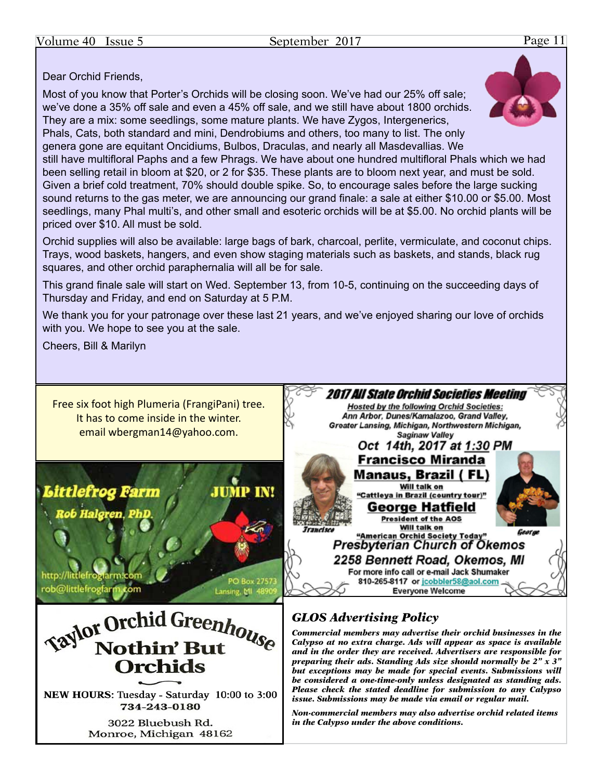# Dear Orchid Friends,

Most of you know that Porter's Orchids will be closing soon. We've had our 25% off sale; we've done a 35% off sale and even a 45% off sale, and we still have about 1800 orchids. They are a mix: some seedlings, some mature plants. We have Zygos, Intergenerics, Phals, Cats, both standard and mini, Dendrobiums and others, too many to list. The only genera gone are equitant Oncidiums, Bulbos, Draculas, and nearly all Masdevallias. We still have multifloral Paphs and a few Phrags. We have about one hundred multifloral Phals which we had been selling retail in bloom at \$20, or 2 for \$35. These plants are to bloom next year, and must be sold. Given a brief cold treatment, 70% should double spike. So, to encourage sales before the large sucking sound returns to the gas meter, we are announcing our grand finale: a sale at either \$10.00 or \$5.00. Most seedlings, many Phal multi's, and other small and esoteric orchids will be at \$5.00. No orchid plants will be priced over \$10. All must be sold.

Orchid supplies will also be available: large bags of bark, charcoal, perlite, vermiculate, and coconut chips. Trays, wood baskets, hangers, and even show staging materials such as baskets, and stands, black rug squares, and other orchid paraphernalia will all be for sale.

This grand finale sale will start on Wed. September 13, from 10-5, continuing on the succeeding days of Thursday and Friday, and end on Saturday at 5 P.M.

We thank you for your patronage over these last 21 years, and we've enjoyed sharing our love of orchids with you. We hope to see you at the sale.

Cheers, Bill & Marilyn

Free six foot high Plumeria (FrangiPani) tree. It has to come inside in the winter. email [wbergman14@yahoo.com.](mailto:wbergman14@yahoo.com)



**Saylor Orchid Greenhouse Nothin' But Orchids** 

NEW HOURS: Tuesday - Saturday 10:00 to 3:00 734-243-0180

> 3022 Bluebush Rd. Monroe, Michigan 48162



# *GLOS Advertising Policy*

*Commercial members may advertise their orchid businesses in the Calypso at no extra charge. Ads will appear as space is available and in the order they are received. Advertisers are responsible for preparing their ads. Standing Ads size should normally be 2" x 3" but exceptions may be made for special events. Submissions will be considered a one-time-only unless designated as standing ads. Please check the stated deadline for submission to any Calypso issue. Submissions may be made via email or regular mail.*

*Non-commercial members may also advertise orchid related items in the Calypso under the above conditions.*